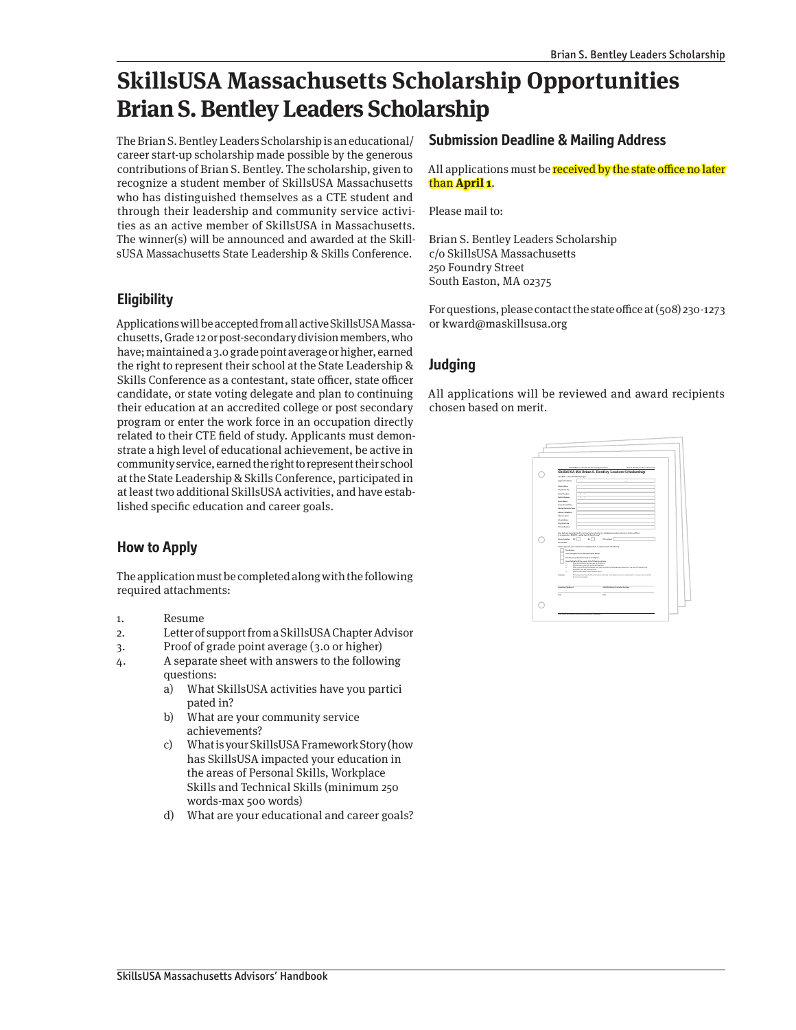## **SkillsUSA Massachusetts Scholarship Opportunities Brian S. Bentley Leaders Scholarship**

The Brian S. Bentley Leaders Scholarship is an educational/ career start-up scholarship made possible by the generous contributions of Brian S. Bentley. The scholarship, given to recognize a student member of SkillsUSA Massachusetts who has distinguished themselves as a CTE student and through their leadership and community service activities as an active member of SkillsUSA in Massachusetts. The winner(s) will be announced and awarded at the SkillsUSA Massachusetts State Leadership & Skills Conference.

### **Eligibility**

Applications will be accepted from all active SkillsUSA Massachusetts, Grade 12 or post-secondary division members, who have; maintained a 3.0 grade point average or higher, earned the right to represent their school at the State Leadership & Skills Conference as a contestant, state officer, state officer candidate, or state voting delegate and plan to continuing their education at an accredited college or post secondary program or enter the work force in an occupation directly related to their CTE field of study. Applicants must demonstrate a high level of educational achievement, be active in community service, earned the right to represent their school at the State Leadership & Skills Conference, participated in at least two additional SkillsUSA activities, and have established specific education and career goals.

## **How to Apply**

The application must be completed along with the following required attachments:

- 1. Resume
- 2. Letter of support from a SkillsUSA Chapter Advisor
- 3. Proof of grade point average (3.0 or higher)
- 4. A separate sheet with answers to the following questions:
	- a) What SkillsUSA activities have you partici pated in?
	- b) What are your community service achievements?
	- c) What is your SkillsUSA Framework Story (how has SkillsUSA impacted your education in the areas of Personal Skills, Workplace Skills and Technical Skills (minimum 250 words-max 500 words)
	- d) What are your educational and career goals?

#### **Submission Deadline & Mailing Address**

All applications must be **received by the state office no later** than **April 1**.

Please mail to:

Brian S. Bentley Leaders Scholarship c/o SkillsUSA Massachusetts 250 Foundry Street South Easton, MA 02375

For questions, please contact the state office at (508) 230-1273 or kward@maskillsusa.org

## **Judging**

All applications will be reviewed and award recipients chosen based on merit.